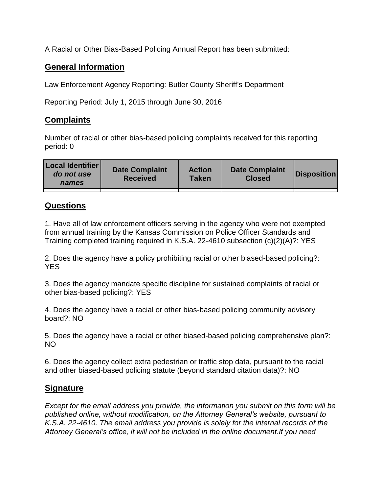A Racial or Other Bias-Based Policing Annual Report has been submitted:

## **General Information**

Law Enforcement Agency Reporting: Butler County Sheriff's Department

Reporting Period: July 1, 2015 through June 30, 2016

## **Complaints**

Number of racial or other bias-based policing complaints received for this reporting period: 0

| <b>Local Identifier</b><br>do not use<br>names | <b>Date Complaint</b><br><b>Received</b> | <b>Action</b><br><b>Taken</b> | <b>Date Complaint</b><br><b>Closed</b> | Disposition |
|------------------------------------------------|------------------------------------------|-------------------------------|----------------------------------------|-------------|
|                                                |                                          |                               |                                        |             |

## **Questions**

1. Have all of law enforcement officers serving in the agency who were not exempted from annual training by the Kansas Commission on Police Officer Standards and Training completed training required in K.S.A. 22-4610 subsection (c)(2)(A)?: YES

2. Does the agency have a policy prohibiting racial or other biased-based policing?: YES

3. Does the agency mandate specific discipline for sustained complaints of racial or other bias-based policing?: YES

4. Does the agency have a racial or other bias-based policing community advisory board?: NO

5. Does the agency have a racial or other biased-based policing comprehensive plan?: NO

6. Does the agency collect extra pedestrian or traffic stop data, pursuant to the racial and other biased-based policing statute (beyond standard citation data)?: NO

## **Signature**

*Except for the email address you provide, the information you submit on this form will be published online, without modification, on the Attorney General's website, pursuant to K.S.A. 22-4610. The email address you provide is solely for the internal records of the Attorney General's office, it will not be included in the online document.If you need*